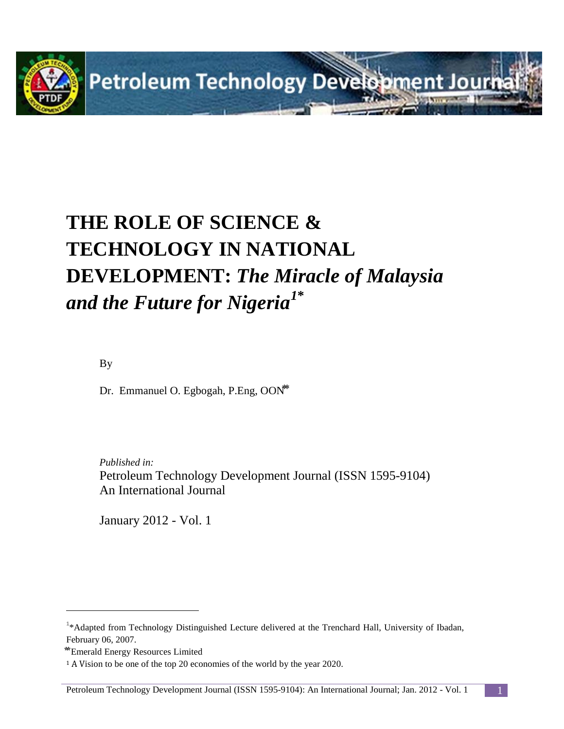

# **THE ROLE OF SCIENCE & TECHNOLOGY IN NATIONAL DEVELOPMENT:** *The Miracle of Malaysia and the Future for Nigeria[1](#page-0-0)***\***

By

Dr. Emmanuel O. Egbogah, P.Eng, OON<sup>\*\*</sup>

*Published in:* Petroleum Technology Development Journal (ISSN 1595-9104) An International Journal

January 2012 - Vol. 1

 $\overline{a}$ 

<span id="page-0-0"></span><sup>&</sup>lt;sup>1</sup>\*Adapted from Technology Distinguished Lecture delivered at the Trenchard Hall, University of Ibadan, February 06, 2007.

**<sup>⃰ ⃰</sup>** Emerald Energy Resources Limited

<sup>1</sup> A Vision to be one of the top 20 economies of the world by the year 2020.

Petroleum Technology Development Journal (ISSN 1595-9104): An International Journal; Jan. 2012 - Vol. 1 1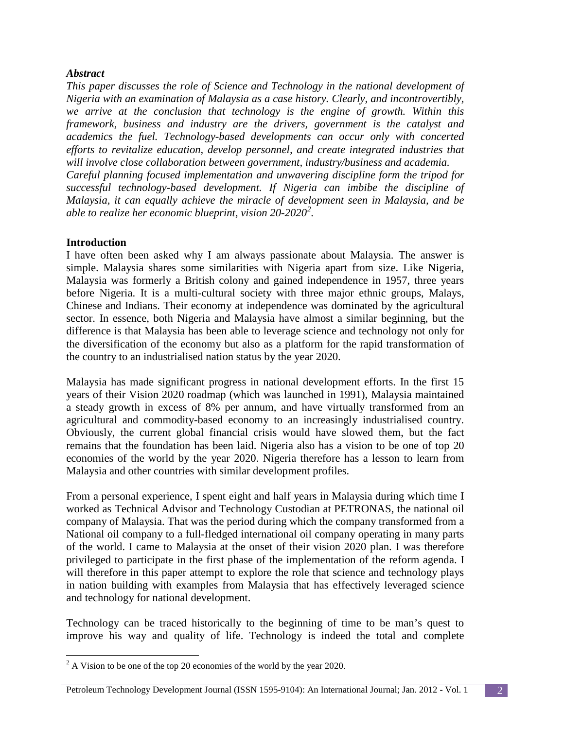#### *Abstract*

*This paper discusses the role of Science and Technology in the national development of Nigeria with an examination of Malaysia as a case history. Clearly, and incontrovertibly, we arrive at the conclusion that technology is the engine of growth. Within this framework, business and industry are the drivers, government is the catalyst and academics the fuel. Technology-based developments can occur only with concerted efforts to revitalize education, develop personnel, and create integrated industries that will involve close collaboration between government, industry/business and academia. Careful planning focused implementation and unwavering discipline form the tripod for successful technology-based development. If Nigeria can imbibe the discipline of Malaysia, it can equally achieve the miracle of development seen in Malaysia, and be able to realize her economic blueprint, vision 20-2020[2](#page-1-0) .*

#### **Introduction**

I have often been asked why I am always passionate about Malaysia. The answer is simple. Malaysia shares some similarities with Nigeria apart from size. Like Nigeria, Malaysia was formerly a British colony and gained independence in 1957, three years before Nigeria. It is a multi-cultural society with three major ethnic groups, Malays, Chinese and Indians. Their economy at independence was dominated by the agricultural sector. In essence, both Nigeria and Malaysia have almost a similar beginning, but the difference is that Malaysia has been able to leverage science and technology not only for the diversification of the economy but also as a platform for the rapid transformation of the country to an industrialised nation status by the year 2020.

Malaysia has made significant progress in national development efforts. In the first 15 years of their Vision 2020 roadmap (which was launched in 1991), Malaysia maintained a steady growth in excess of 8% per annum, and have virtually transformed from an agricultural and commodity-based economy to an increasingly industrialised country. Obviously, the current global financial crisis would have slowed them, but the fact remains that the foundation has been laid. Nigeria also has a vision to be one of top 20 economies of the world by the year 2020. Nigeria therefore has a lesson to learn from Malaysia and other countries with similar development profiles.

From a personal experience, I spent eight and half years in Malaysia during which time I worked as Technical Advisor and Technology Custodian at PETRONAS, the national oil company of Malaysia. That was the period during which the company transformed from a National oil company to a full-fledged international oil company operating in many parts of the world. I came to Malaysia at the onset of their vision 2020 plan. I was therefore privileged to participate in the first phase of the implementation of the reform agenda. I will therefore in this paper attempt to explore the role that science and technology plays in nation building with examples from Malaysia that has effectively leveraged science and technology for national development.

Technology can be traced historically to the beginning of time to be man's quest to improve his way and quality of life. Technology is indeed the total and complete

<span id="page-1-0"></span> $2^2$  A Vision to be one of the top 20 economies of the world by the year 2020.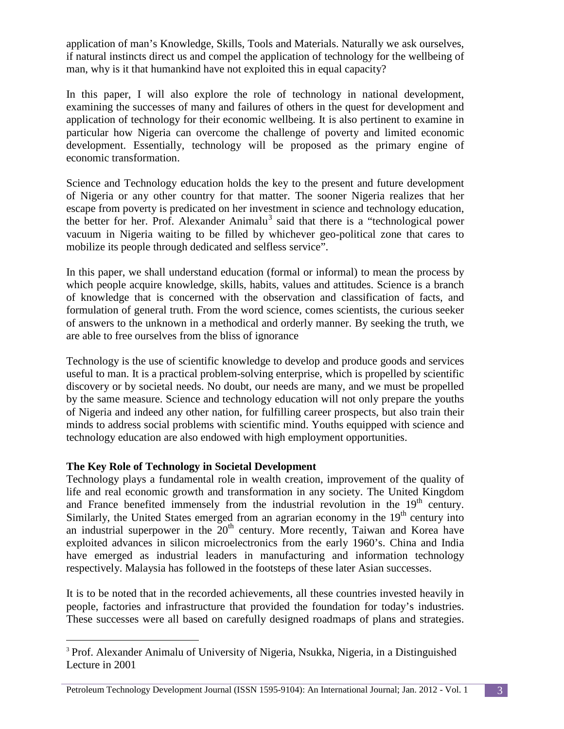application of man's Knowledge, Skills, Tools and Materials. Naturally we ask ourselves, if natural instincts direct us and compel the application of technology for the wellbeing of man, why is it that humankind have not exploited this in equal capacity?

In this paper, I will also explore the role of technology in national development, examining the successes of many and failures of others in the quest for development and application of technology for their economic wellbeing. It is also pertinent to examine in particular how Nigeria can overcome the challenge of poverty and limited economic development. Essentially, technology will be proposed as the primary engine of economic transformation.

Science and Technology education holds the key to the present and future development of Nigeria or any other country for that matter. The sooner Nigeria realizes that her escape from poverty is predicated on her investment in science and technology education, the better for her. Prof. Alexander Animalu<sup>[3](#page-2-0)</sup> said that there is a "technological power vacuum in Nigeria waiting to be filled by whichever geo-political zone that cares to mobilize its people through dedicated and selfless service".

In this paper, we shall understand education (formal or informal) to mean the process by which people acquire knowledge, skills, habits, values and attitudes. Science is a branch of knowledge that is concerned with the observation and classification of facts, and formulation of general truth. From the word science, comes scientists, the curious seeker of answers to the unknown in a methodical and orderly manner. By seeking the truth, we are able to free ourselves from the bliss of ignorance

Technology is the use of scientific knowledge to develop and produce goods and services useful to man. It is a practical problem-solving enterprise, which is propelled by scientific discovery or by societal needs. No doubt, our needs are many, and we must be propelled by the same measure. Science and technology education will not only prepare the youths of Nigeria and indeed any other nation, for fulfilling career prospects, but also train their minds to address social problems with scientific mind. Youths equipped with science and technology education are also endowed with high employment opportunities.

## **The Key Role of Technology in Societal Development**

Technology plays a fundamental role in wealth creation, improvement of the quality of life and real economic growth and transformation in any society. The United Kingdom and France benefited immensely from the industrial revolution in the  $19<sup>th</sup>$  century. Similarly, the United States emerged from an agrarian economy in the 19<sup>th</sup> century into an industrial superpower in the  $20<sup>th</sup>$  century. More recently, Taiwan and Korea have exploited advances in silicon microelectronics from the early 1960's. China and India have emerged as industrial leaders in manufacturing and information technology respectively. Malaysia has followed in the footsteps of these later Asian successes.

It is to be noted that in the recorded achievements, all these countries invested heavily in people, factories and infrastructure that provided the foundation for today's industries. These successes were all based on carefully designed roadmaps of plans and strategies.

<span id="page-2-0"></span><sup>&</sup>lt;sup>3</sup> Prof. Alexander Animalu of University of Nigeria, Nsukka, Nigeria, in a Distinguished Lecture in 2001

Petroleum Technology Development Journal (ISSN 1595-9104): An International Journal; Jan. 2012 - Vol. 1 3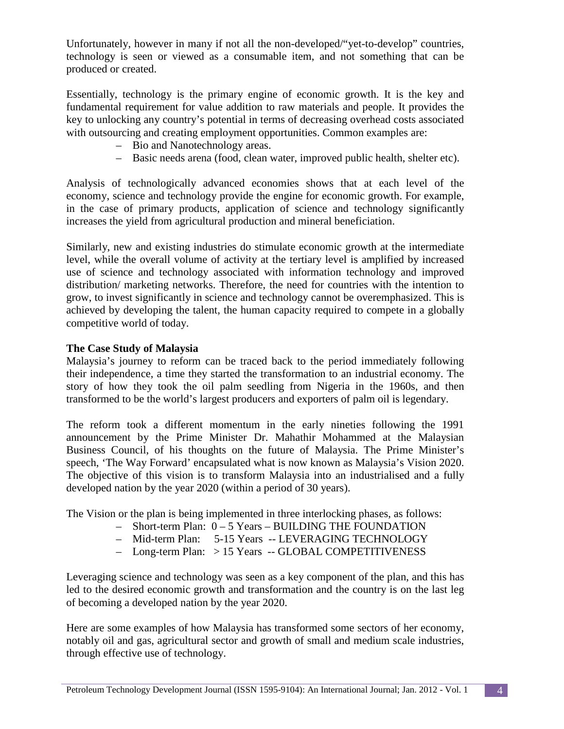Unfortunately, however in many if not all the non-developed/"yet-to-develop" countries, technology is seen or viewed as a consumable item, and not something that can be produced or created.

Essentially, technology is the primary engine of economic growth. It is the key and fundamental requirement for value addition to raw materials and people. It provides the key to unlocking any country's potential in terms of decreasing overhead costs associated with outsourcing and creating employment opportunities. Common examples are:

- Bio and Nanotechnology areas.
- Basic needs arena (food, clean water, improved public health, shelter etc).

Analysis of technologically advanced economies shows that at each level of the economy, science and technology provide the engine for economic growth. For example, in the case of primary products, application of science and technology significantly increases the yield from agricultural production and mineral beneficiation.

Similarly, new and existing industries do stimulate economic growth at the intermediate level, while the overall volume of activity at the tertiary level is amplified by increased use of science and technology associated with information technology and improved distribution/ marketing networks. Therefore, the need for countries with the intention to grow, to invest significantly in science and technology cannot be overemphasized. This is achieved by developing the talent, the human capacity required to compete in a globally competitive world of today.

#### **The Case Study of Malaysia**

Malaysia's journey to reform can be traced back to the period immediately following their independence, a time they started the transformation to an industrial economy. The story of how they took the oil palm seedling from Nigeria in the 1960s, and then transformed to be the world's largest producers and exporters of palm oil is legendary.

The reform took a different momentum in the early nineties following the 1991 announcement by the Prime Minister Dr. Mahathir Mohammed at the Malaysian Business Council, of his thoughts on the future of Malaysia. The Prime Minister's speech, 'The Way Forward' encapsulated what is now known as Malaysia's Vision 2020. The objective of this vision is to transform Malaysia into an industrialised and a fully developed nation by the year 2020 (within a period of 30 years).

The Vision or the plan is being implemented in three interlocking phases, as follows:

- Short-term Plan: 0 5 Years BUILDING THE FOUNDATION
- Mid-term Plan: 5-15 Years -- LEVERAGING TECHNOLOGY
- Long-term Plan: > 15 Years -- GLOBAL COMPETITIVENESS

Leveraging science and technology was seen as a key component of the plan, and this has led to the desired economic growth and transformation and the country is on the last leg of becoming a developed nation by the year 2020.

Here are some examples of how Malaysia has transformed some sectors of her economy, notably oil and gas, agricultural sector and growth of small and medium scale industries, through effective use of technology.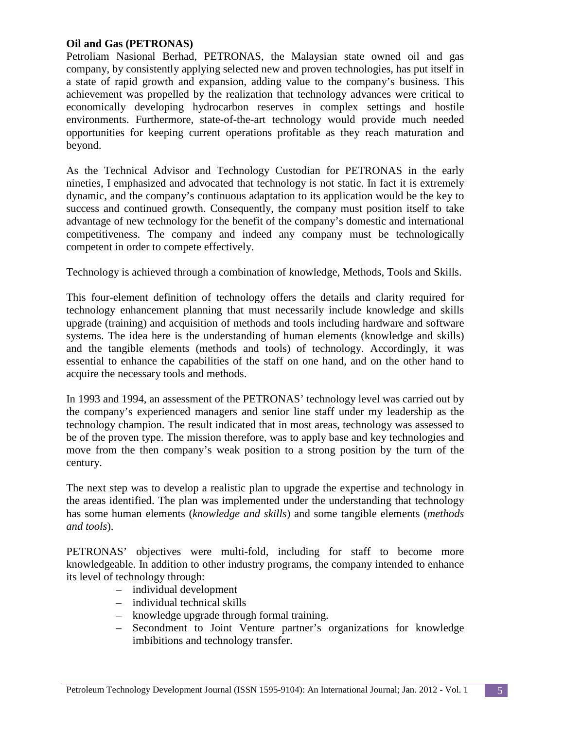#### **Oil and Gas (PETRONAS)**

Petroliam Nasional Berhad, PETRONAS, the Malaysian state owned oil and gas company, by consistently applying selected new and proven technologies, has put itself in a state of rapid growth and expansion, adding value to the company's business. This achievement was propelled by the realization that technology advances were critical to economically developing hydrocarbon reserves in complex settings and hostile environments. Furthermore, state-of-the-art technology would provide much needed opportunities for keeping current operations profitable as they reach maturation and beyond.

As the Technical Advisor and Technology Custodian for PETRONAS in the early nineties, I emphasized and advocated that technology is not static. In fact it is extremely dynamic, and the company's continuous adaptation to its application would be the key to success and continued growth. Consequently, the company must position itself to take advantage of new technology for the benefit of the company's domestic and international competitiveness. The company and indeed any company must be technologically competent in order to compete effectively.

Technology is achieved through a combination of knowledge, Methods, Tools and Skills.

This four-element definition of technology offers the details and clarity required for technology enhancement planning that must necessarily include knowledge and skills upgrade (training) and acquisition of methods and tools including hardware and software systems. The idea here is the understanding of human elements (knowledge and skills) and the tangible elements (methods and tools) of technology. Accordingly, it was essential to enhance the capabilities of the staff on one hand, and on the other hand to acquire the necessary tools and methods.

In 1993 and 1994, an assessment of the PETRONAS' technology level was carried out by the company's experienced managers and senior line staff under my leadership as the technology champion. The result indicated that in most areas, technology was assessed to be of the proven type. The mission therefore, was to apply base and key technologies and move from the then company's weak position to a strong position by the turn of the century.

The next step was to develop a realistic plan to upgrade the expertise and technology in the areas identified. The plan was implemented under the understanding that technology has some human elements (*knowledge and skills*) and some tangible elements (*methods and tools*).

PETRONAS' objectives were multi-fold, including for staff to become more knowledgeable. In addition to other industry programs, the company intended to enhance its level of technology through:

- individual development
- individual technical skills
- knowledge upgrade through formal training.
- Secondment to Joint Venture partner's organizations for knowledge imbibitions and technology transfer.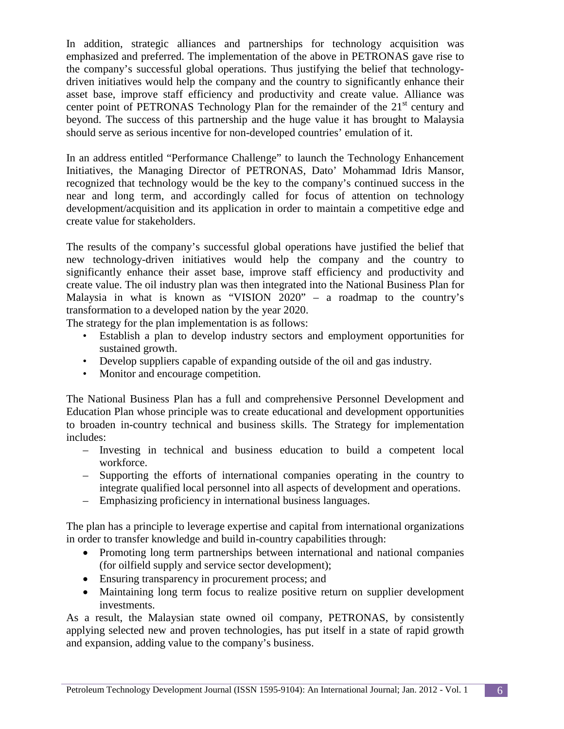In addition, strategic alliances and partnerships for technology acquisition was emphasized and preferred. The implementation of the above in PETRONAS gave rise to the company's successful global operations. Thus justifying the belief that technologydriven initiatives would help the company and the country to significantly enhance their asset base, improve staff efficiency and productivity and create value. Alliance was center point of PETRONAS Technology Plan for the remainder of the  $21<sup>st</sup>$  century and beyond. The success of this partnership and the huge value it has brought to Malaysia should serve as serious incentive for non-developed countries' emulation of it.

In an address entitled "Performance Challenge" to launch the Technology Enhancement Initiatives, the Managing Director of PETRONAS, Dato' Mohammad Idris Mansor, recognized that technology would be the key to the company's continued success in the near and long term, and accordingly called for focus of attention on technology development/acquisition and its application in order to maintain a competitive edge and create value for stakeholders.

The results of the company's successful global operations have justified the belief that new technology-driven initiatives would help the company and the country to significantly enhance their asset base, improve staff efficiency and productivity and create value. The oil industry plan was then integrated into the National Business Plan for Malaysia in what is known as "VISION 2020" – a roadmap to the country's transformation to a developed nation by the year 2020.

The strategy for the plan implementation is as follows:

- Establish a plan to develop industry sectors and employment opportunities for sustained growth.
- Develop suppliers capable of expanding outside of the oil and gas industry.
- Monitor and encourage competition.

The National Business Plan has a full and comprehensive Personnel Development and Education Plan whose principle was to create educational and development opportunities to broaden in-country technical and business skills. The Strategy for implementation includes:

- Investing in technical and business education to build a competent local workforce.
- Supporting the efforts of international companies operating in the country to integrate qualified local personnel into all aspects of development and operations.
- Emphasizing proficiency in international business languages.

The plan has a principle to leverage expertise and capital from international organizations in order to transfer knowledge and build in-country capabilities through:

- Promoting long term partnerships between international and national companies (for oilfield supply and service sector development);
- Ensuring transparency in procurement process; and
- Maintaining long term focus to realize positive return on supplier development investments.

As a result, the Malaysian state owned oil company, PETRONAS, by consistently applying selected new and proven technologies, has put itself in a state of rapid growth and expansion, adding value to the company's business.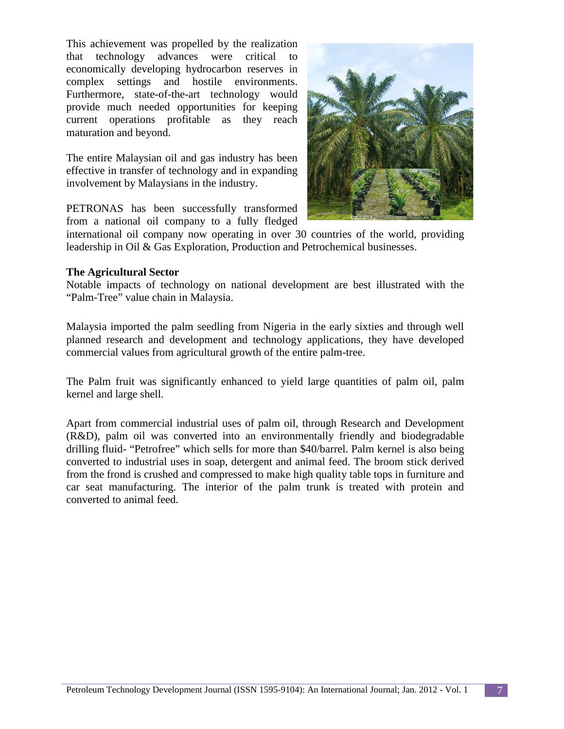This achievement was propelled by the realization that technology advances were critical to economically developing hydrocarbon reserves in complex settings and hostile environments. Furthermore, state-of-the-art technology would provide much needed opportunities for keeping current operations profitable as they reach maturation and beyond.

The entire Malaysian oil and gas industry has been effective in transfer of technology and in expanding involvement by Malaysians in the industry.

PETRONAS has been successfully transformed from a national oil company to a fully fledged



international oil company now operating in over 30 countries of the world, providing leadership in Oil & Gas Exploration, Production and Petrochemical businesses.

#### **The Agricultural Sector**

Notable impacts of technology on national development are best illustrated with the "Palm-Tree" value chain in Malaysia.

Malaysia imported the palm seedling from Nigeria in the early sixties and through well planned research and development and technology applications, they have developed commercial values from agricultural growth of the entire palm-tree.

The Palm fruit was significantly enhanced to yield large quantities of palm oil, palm kernel and large shell.

Apart from commercial industrial uses of palm oil, through Research and Development (R&D), palm oil was converted into an environmentally friendly and biodegradable drilling fluid- "Petrofree" which sells for more than \$40/barrel. Palm kernel is also being converted to industrial uses in soap, detergent and animal feed. The broom stick derived from the frond is crushed and compressed to make high quality table tops in furniture and car seat manufacturing. The interior of the palm trunk is treated with protein and converted to animal feed.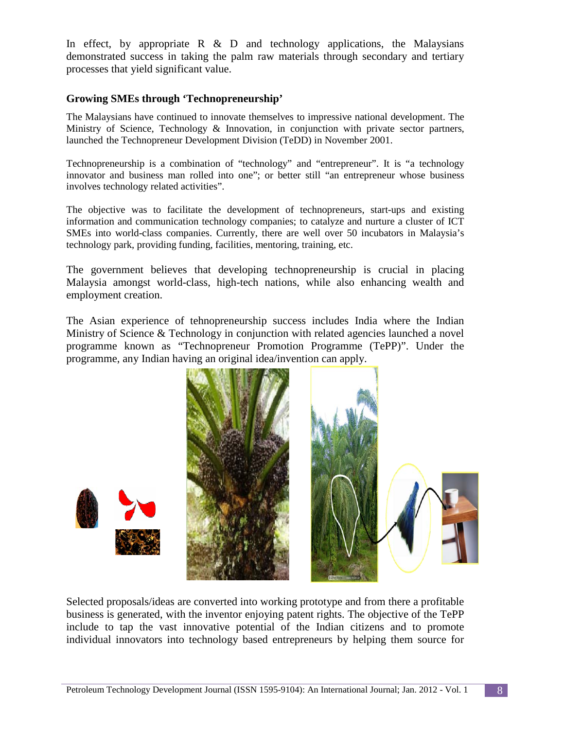In effect, by appropriate  $R \& D$  and technology applications, the Malaysians demonstrated success in taking the palm raw materials through secondary and tertiary processes that yield significant value.

#### **Growing SMEs through 'Technopreneurship'**

The Malaysians have continued to innovate themselves to impressive national development. The Ministry of Science, Technology & Innovation, in conjunction with private sector partners, launched the Technopreneur Development Division (TeDD) in November 2001.

Technopreneurship is a combination of "technology" and "entrepreneur". It is "a technology innovator and business man rolled into one"; or better still "an entrepreneur whose business involves technology related activities".

The objective was to facilitate the development of technopreneurs, start-ups and existing information and communication technology companies; to catalyze and nurture a cluster of ICT SMEs into world-class companies. Currently, there are well over 50 incubators in Malaysia's technology park, providing funding, facilities, mentoring, training, etc.

The government believes that developing technopreneurship is crucial in placing Malaysia amongst world-class, high-tech nations, while also enhancing wealth and employment creation.

The Asian experience of tehnopreneurship success includes India where the Indian Ministry of Science & Technology in conjunction with related agencies launched a novel programme known as "Technopreneur Promotion Programme (TePP)". Under the programme, any Indian having an original idea/invention can apply.



Selected proposals/ideas are converted into working prototype and from there a profitable business is generated, with the inventor enjoying patent rights. The objective of the TePP include to tap the vast innovative potential of the Indian citizens and to promote individual innovators into technology based entrepreneurs by helping them source for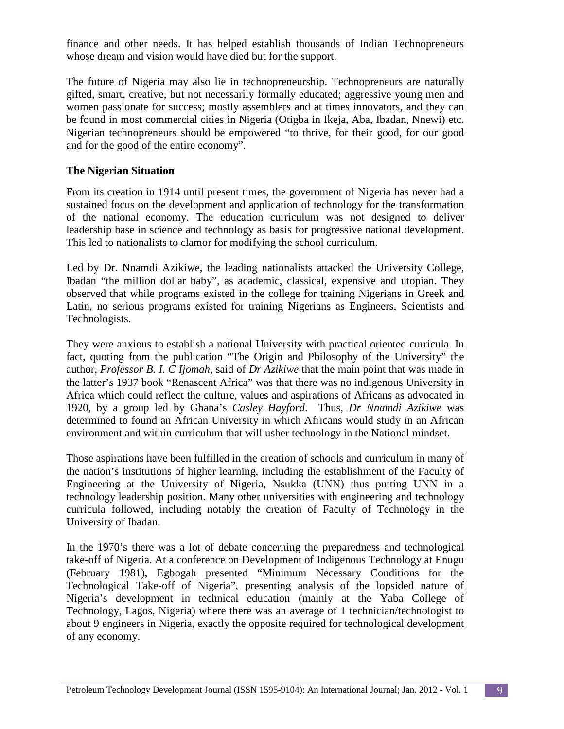finance and other needs. It has helped establish thousands of Indian Technopreneurs whose dream and vision would have died but for the support.

The future of Nigeria may also lie in technopreneurship. Technopreneurs are naturally gifted, smart, creative, but not necessarily formally educated; aggressive young men and women passionate for success; mostly assemblers and at times innovators, and they can be found in most commercial cities in Nigeria (Otigba in Ikeja, Aba, Ibadan, Nnewi) etc. Nigerian technopreneurs should be empowered "to thrive, for their good, for our good and for the good of the entire economy".

#### **The Nigerian Situation**

From its creation in 1914 until present times, the government of Nigeria has never had a sustained focus on the development and application of technology for the transformation of the national economy. The education curriculum was not designed to deliver leadership base in science and technology as basis for progressive national development. This led to nationalists to clamor for modifying the school curriculum.

Led by Dr. Nnamdi Azikiwe, the leading nationalists attacked the University College, Ibadan "the million dollar baby", as academic, classical, expensive and utopian. They observed that while programs existed in the college for training Nigerians in Greek and Latin, no serious programs existed for training Nigerians as Engineers, Scientists and Technologists.

They were anxious to establish a national University with practical oriented curricula. In fact, quoting from the publication "The Origin and Philosophy of the University" the author, *Professor B. I. C Ijomah*, said of *Dr Azikiwe* that the main point that was made in the latter's 1937 book "Renascent Africa" was that there was no indigenous University in Africa which could reflect the culture, values and aspirations of Africans as advocated in 1920, by a group led by Ghana's *Casley Hayford*. Thus, *Dr Nnamdi Azikiwe* was determined to found an African University in which Africans would study in an African environment and within curriculum that will usher technology in the National mindset.

Those aspirations have been fulfilled in the creation of schools and curriculum in many of the nation's institutions of higher learning, including the establishment of the Faculty of Engineering at the University of Nigeria, Nsukka (UNN) thus putting UNN in a technology leadership position. Many other universities with engineering and technology curricula followed, including notably the creation of Faculty of Technology in the University of Ibadan.

In the 1970's there was a lot of debate concerning the preparedness and technological take-off of Nigeria. At a conference on Development of Indigenous Technology at Enugu (February 1981), Egbogah presented "Minimum Necessary Conditions for the Technological Take-off of Nigeria", presenting analysis of the lopsided nature of Nigeria's development in technical education (mainly at the Yaba College of Technology, Lagos, Nigeria) where there was an average of 1 technician/technologist to about 9 engineers in Nigeria, exactly the opposite required for technological development of any economy.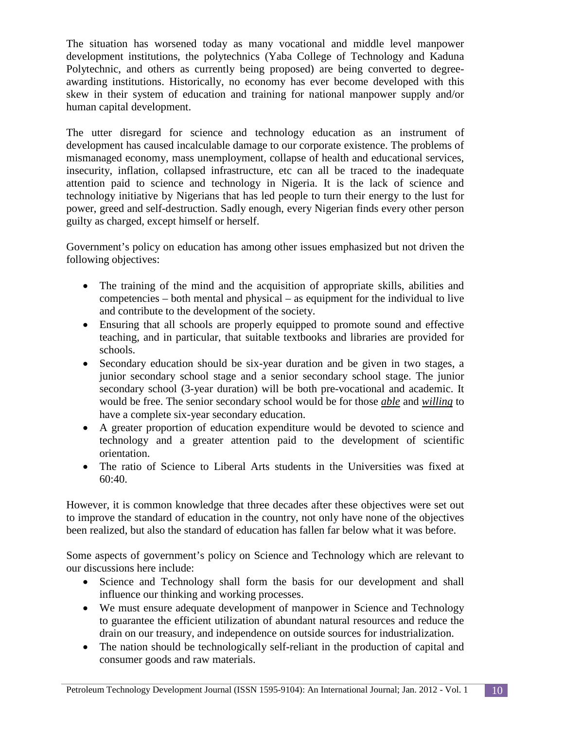The situation has worsened today as many vocational and middle level manpower development institutions, the polytechnics (Yaba College of Technology and Kaduna Polytechnic, and others as currently being proposed) are being converted to degreeawarding institutions. Historically, no economy has ever become developed with this skew in their system of education and training for national manpower supply and/or human capital development.

The utter disregard for science and technology education as an instrument of development has caused incalculable damage to our corporate existence. The problems of mismanaged economy, mass unemployment, collapse of health and educational services, insecurity, inflation, collapsed infrastructure, etc can all be traced to the inadequate attention paid to science and technology in Nigeria. It is the lack of science and technology initiative by Nigerians that has led people to turn their energy to the lust for power, greed and self-destruction. Sadly enough, every Nigerian finds every other person guilty as charged, except himself or herself.

Government's policy on education has among other issues emphasized but not driven the following objectives:

- The training of the mind and the acquisition of appropriate skills, abilities and competencies – both mental and physical – as equipment for the individual to live and contribute to the development of the society.
- Ensuring that all schools are properly equipped to promote sound and effective teaching, and in particular, that suitable textbooks and libraries are provided for schools.
- Secondary education should be six-year duration and be given in two stages, a junior secondary school stage and a senior secondary school stage. The junior secondary school (3-year duration) will be both pre-vocational and academic. It would be free. The senior secondary school would be for those *able* and *willing* to have a complete six-year secondary education.
- A greater proportion of education expenditure would be devoted to science and technology and a greater attention paid to the development of scientific orientation.
- The ratio of Science to Liberal Arts students in the Universities was fixed at 60:40.

However, it is common knowledge that three decades after these objectives were set out to improve the standard of education in the country, not only have none of the objectives been realized, but also the standard of education has fallen far below what it was before.

Some aspects of government's policy on Science and Technology which are relevant to our discussions here include:

- Science and Technology shall form the basis for our development and shall influence our thinking and working processes.
- We must ensure adequate development of manpower in Science and Technology to guarantee the efficient utilization of abundant natural resources and reduce the drain on our treasury, and independence on outside sources for industrialization.
- The nation should be technologically self-reliant in the production of capital and consumer goods and raw materials.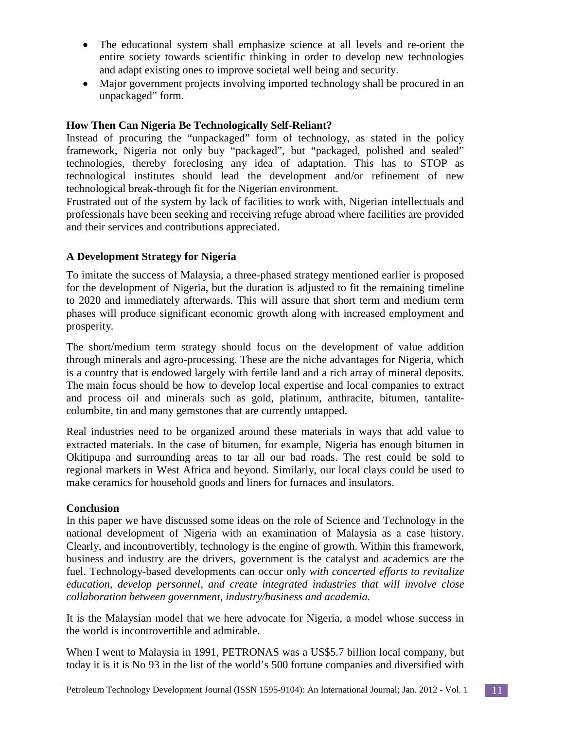- The educational system shall emphasize science at all levels and re-orient the entire society towards scientific thinking in order to develop new technologies and adapt existing ones to improve societal well being and security.
- Major government projects involving imported technology shall be procured in an unpackaged" form.

## **How Then Can Nigeria Be Technologically Self-Reliant?**

Instead of procuring the "unpackaged" form of technology, as stated in the policy framework, Nigeria not only buy "packaged", but "packaged, polished and sealed" technologies, thereby foreclosing any idea of adaptation. This has to STOP as technological institutes should lead the development and/or refinement of new technological break-through fit for the Nigerian environment.

Frustrated out of the system by lack of facilities to work with, Nigerian intellectuals and professionals have been seeking and receiving refuge abroad where facilities are provided and their services and contributions appreciated.

## **A Development Strategy for Nigeria**

To imitate the success of Malaysia, a three-phased strategy mentioned earlier is proposed for the development of Nigeria, but the duration is adjusted to fit the remaining timeline to 2020 and immediately afterwards. This will assure that short term and medium term phases will produce significant economic growth along with increased employment and prosperity*.*

The short/medium term strategy should focus on the development of value addition through minerals and agro-processing. These are the niche advantages for Nigeria, which is a country that is endowed largely with fertile land and a rich array of mineral deposits. The main focus should be how to develop local expertise and local companies to extract and process oil and minerals such as gold, platinum, anthracite, bitumen, tantalitecolumbite, tin and many gemstones that are currently untapped.

Real industries need to be organized around these materials in ways that add value to extracted materials. In the case of bitumen, for example, Nigeria has enough bitumen in Okitipupa and surrounding areas to tar all our bad roads. The rest could be sold to regional markets in West Africa and beyond. Similarly, our local clays could be used to make ceramics for household goods and liners for furnaces and insulators.

## **Conclusion**

In this paper we have discussed some ideas on the role of Science and Technology in the national development of Nigeria with an examination of Malaysia as a case history. Clearly, and incontrovertibly, technology is the engine of growth. Within this framework, business and industry are the drivers, government is the catalyst and academics are the fuel. Technology-based developments can occur only *with concerted efforts to revitalize education, develop personnel, and create integrated industries that will involve close collaboration between government, industry/business and academia.*

It is the Malaysian model that we here advocate for Nigeria, a model whose success in the world is incontrovertible and admirable.

When I went to Malaysia in 1991, PETRONAS was a US\$5.7 billion local company, but today it is it is No 93 in the list of the world's 500 fortune companies and diversified with